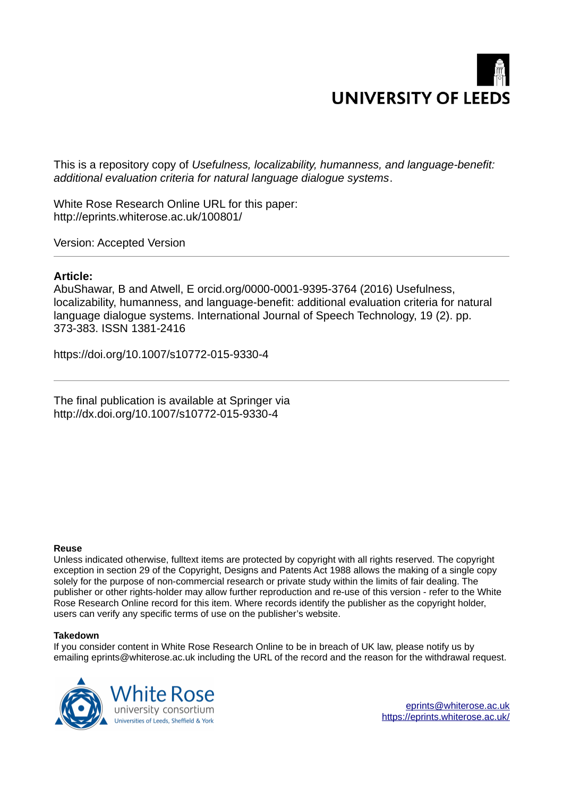

This is a repository copy of *Usefulness, localizability, humanness, and language-benefit: additional evaluation criteria for natural language dialogue systems*.

White Rose Research Online URL for this paper: http://eprints.whiterose.ac.uk/100801/

Version: Accepted Version

# **Article:**

AbuShawar, B and Atwell, E orcid.org/0000-0001-9395-3764 (2016) Usefulness, localizability, humanness, and language-benefit: additional evaluation criteria for natural language dialogue systems. International Journal of Speech Technology, 19 (2). pp. 373-383. ISSN 1381-2416

https://doi.org/10.1007/s10772-015-9330-4

The final publication is available at Springer via http://dx.doi.org/10.1007/s10772-015-9330-4

# **Reuse**

Unless indicated otherwise, fulltext items are protected by copyright with all rights reserved. The copyright exception in section 29 of the Copyright, Designs and Patents Act 1988 allows the making of a single copy solely for the purpose of non-commercial research or private study within the limits of fair dealing. The publisher or other rights-holder may allow further reproduction and re-use of this version - refer to the White Rose Research Online record for this item. Where records identify the publisher as the copyright holder, users can verify any specific terms of use on the publisher's website.

# **Takedown**

If you consider content in White Rose Research Online to be in breach of UK law, please notify us by emailing eprints@whiterose.ac.uk including the URL of the record and the reason for the withdrawal request.

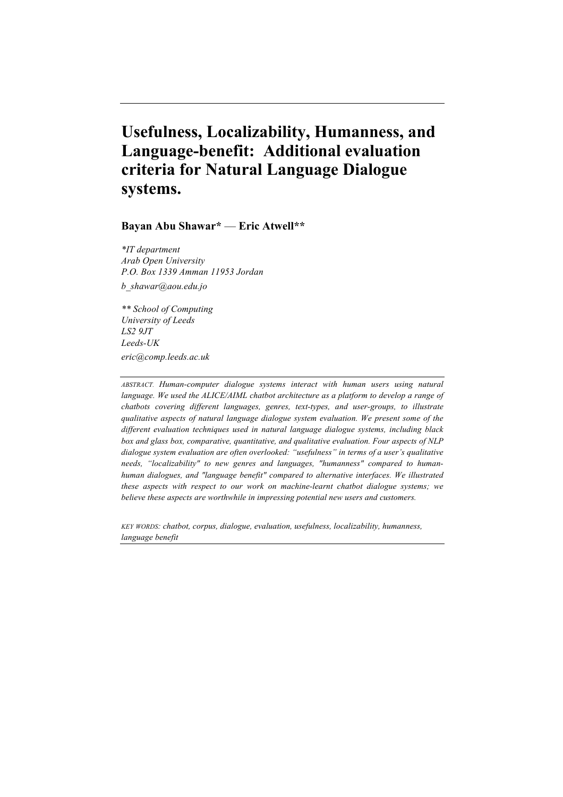# **Usefulness, Localizability, Humanness, and Language-benefit: Additional evaluation criteria for Natural Language Dialogue systems.**

**Bayan Abu Shawar\*** — **Eric Atwell\*\*** 

*\*IT department Arab Open University P.O. Box 1339 Amman 11953 Jordan b\_shawar@aou.edu.jo*

*\*\* School of Computing University of Leeds LS2 9JT Leeds-UK eric@comp.leeds.ac.uk*

*ABSTRACT. Human-computer dialogue systems interact with human users using natural language. We used the ALICE/AIML chatbot architecture as a platform to develop a range of chatbots covering different languages, genres, text-types, and user-groups, to illustrate qualitative aspects of natural language dialogue system evaluation. We present some of the different evaluation techniques used in natural language dialogue systems, including black box and glass box, comparative, quantitative, and qualitative evaluation. Four aspects of NLP dialogue system evaluation are often overlooked: "usefulness" in terms of a user's qualitative needs, "localizability" to new genres and languages, "humanness" compared to humanhuman dialogues, and "language benefit" compared to alternative interfaces. We illustrated these aspects with respect to our work on machine-learnt chatbot dialogue systems; we believe these aspects are worthwhile in impressing potential new users and customers.*

*KEY WORDS: chatbot, corpus, dialogue, evaluation, usefulness, localizability, humanness, language benefit*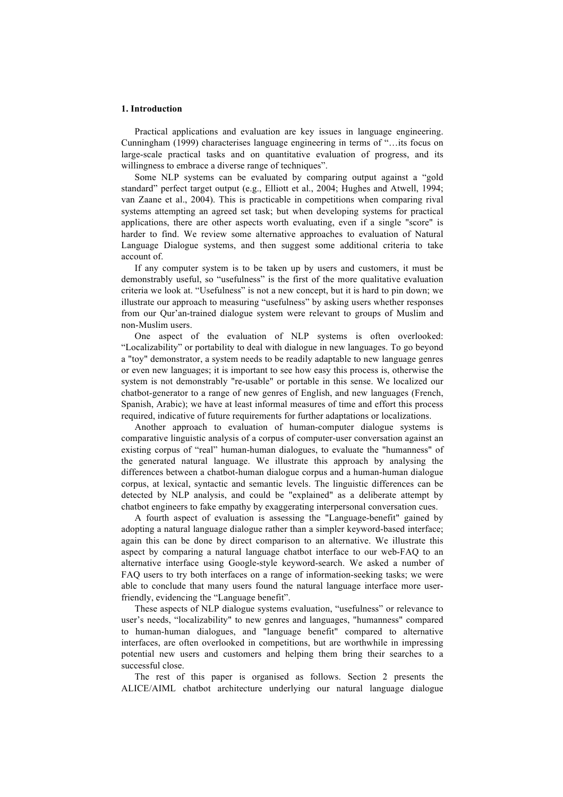# **1. Introduction**

Practical applications and evaluation are key issues in language engineering. Cunningham (1999) characterises language engineering in terms of "…its focus on large-scale practical tasks and on quantitative evaluation of progress, and its willingness to embrace a diverse range of techniques".

Some NLP systems can be evaluated by comparing output against a "gold standard" perfect target output (e.g., Elliott et al., 2004; Hughes and Atwell, 1994; van Zaane et al., 2004). This is practicable in competitions when comparing rival systems attempting an agreed set task; but when developing systems for practical applications, there are other aspects worth evaluating, even if a single "score" is harder to find. We review some alternative approaches to evaluation of Natural Language Dialogue systems, and then suggest some additional criteria to take account of.

If any computer system is to be taken up by users and customers, it must be demonstrably useful, so "usefulness" is the first of the more qualitative evaluation criteria we look at. "Usefulness" is not a new concept, but it is hard to pin down; we illustrate our approach to measuring "usefulness" by asking users whether responses from our Qur'an-trained dialogue system were relevant to groups of Muslim and non-Muslim users.

One aspect of the evaluation of NLP systems is often overlooked: "Localizability" or portability to deal with dialogue in new languages. To go beyond a "toy" demonstrator, a system needs to be readily adaptable to new language genres or even new languages; it is important to see how easy this process is, otherwise the system is not demonstrably "re-usable" or portable in this sense. We localized our chatbot-generator to a range of new genres of English, and new languages (French, Spanish, Arabic); we have at least informal measures of time and effort this process required, indicative of future requirements for further adaptations or localizations.

Another approach to evaluation of human-computer dialogue systems is comparative linguistic analysis of a corpus of computer-user conversation against an existing corpus of "real" human-human dialogues, to evaluate the "humanness" of the generated natural language. We illustrate this approach by analysing the differences between a chatbot-human dialogue corpus and a human-human dialogue corpus, at lexical, syntactic and semantic levels. The linguistic differences can be detected by NLP analysis, and could be "explained" as a deliberate attempt by chatbot engineers to fake empathy by exaggerating interpersonal conversation cues.

A fourth aspect of evaluation is assessing the "Language-benefit" gained by adopting a natural language dialogue rather than a simpler keyword-based interface; again this can be done by direct comparison to an alternative. We illustrate this aspect by comparing a natural language chatbot interface to our web-FAQ to an alternative interface using Google-style keyword-search. We asked a number of FAQ users to try both interfaces on a range of information-seeking tasks; we were able to conclude that many users found the natural language interface more userfriendly, evidencing the "Language benefit".

These aspects of NLP dialogue systems evaluation, "usefulness" or relevance to user's needs, "localizability" to new genres and languages, "humanness" compared to human-human dialogues, and "language benefit" compared to alternative interfaces, are often overlooked in competitions, but are worthwhile in impressing potential new users and customers and helping them bring their searches to a successful close.

The rest of this paper is organised as follows. Section 2 presents the ALICE/AIML chatbot architecture underlying our natural language dialogue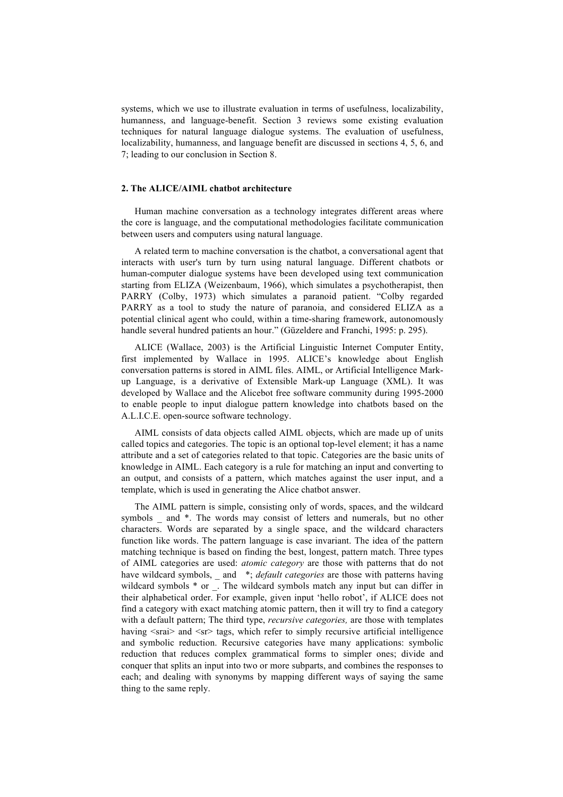systems, which we use to illustrate evaluation in terms of usefulness, localizability, humanness, and language-benefit. Section 3 reviews some existing evaluation techniques for natural language dialogue systems. The evaluation of usefulness, localizability, humanness, and language benefit are discussed in sections 4, 5, 6, and 7; leading to our conclusion in Section 8.

## **2. The ALICE/AIML chatbot architecture**

Human machine conversation as a technology integrates different areas where the core is language, and the computational methodologies facilitate communication between users and computers using natural language.

A related term to machine conversation is the chatbot, a conversational agent that interacts with user's turn by turn using natural language. Different chatbots or human-computer dialogue systems have been developed using text communication starting from ELIZA (Weizenbaum, 1966), which simulates a psychotherapist, then PARRY (Colby, 1973) which simulates a paranoid patient. "Colby regarded PARRY as a tool to study the nature of paranoia, and considered ELIZA as a potential clinical agent who could, within a time-sharing framework, autonomously handle several hundred patients an hour." (Güzeldere and Franchi, 1995: p. 295).

ALICE (Wallace, 2003) is the Artificial Linguistic Internet Computer Entity, first implemented by Wallace in 1995. ALICE's knowledge about English conversation patterns is stored in AIML files. AIML, or Artificial Intelligence Markup Language, is a derivative of Extensible Mark-up Language (XML). It was developed by Wallace and the Alicebot free software community during 1995-2000 to enable people to input dialogue pattern knowledge into chatbots based on the A.L.I.C.E. open-source software technology.

AIML consists of data objects called AIML objects, which are made up of units called topics and categories. The topic is an optional top-level element; it has a name attribute and a set of categories related to that topic. Categories are the basic units of knowledge in AIML. Each category is a rule for matching an input and converting to an output, and consists of a pattern, which matches against the user input, and a template, which is used in generating the Alice chatbot answer.

The AIML pattern is simple, consisting only of words, spaces, and the wildcard symbols and  $*$ . The words may consist of letters and numerals, but no other characters. Words are separated by a single space, and the wildcard characters function like words. The pattern language is case invariant. The idea of the pattern matching technique is based on finding the best, longest, pattern match. Three types of AIML categories are used: *atomic category* are those with patterns that do not have wildcard symbols, \_ and \*; *default categories* are those with patterns having wildcard symbols \* or . The wildcard symbols match any input but can differ in their alphabetical order. For example, given input 'hello robot', if ALICE does not find a category with exact matching atomic pattern, then it will try to find a category with a default pattern; The third type, *recursive categories,* are those with templates having  $\langle \text{sna} \rangle$  and  $\langle \text{sr} \rangle$  tags, which refer to simply recursive artificial intelligence and symbolic reduction. Recursive categories have many applications: symbolic reduction that reduces complex grammatical forms to simpler ones; divide and conquer that splits an input into two or more subparts, and combines the responses to each; and dealing with synonyms by mapping different ways of saying the same thing to the same reply.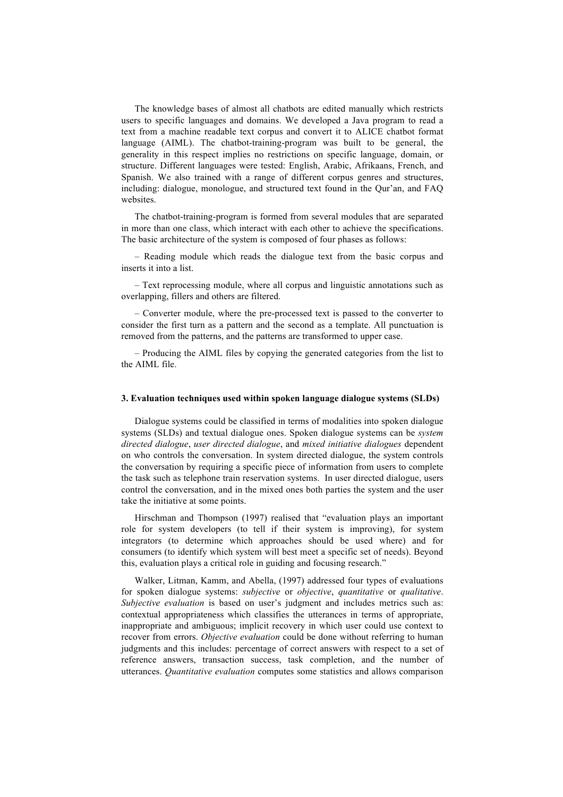The knowledge bases of almost all chatbots are edited manually which restricts users to specific languages and domains. We developed a Java program to read a text from a machine readable text corpus and convert it to ALICE chatbot format language (AIML). The chatbot-training-program was built to be general, the generality in this respect implies no restrictions on specific language, domain, or structure. Different languages were tested: English, Arabic, Afrikaans, French, and Spanish. We also trained with a range of different corpus genres and structures, including: dialogue, monologue, and structured text found in the Qur'an, and FAQ websites.

The chatbot-training-program is formed from several modules that are separated in more than one class, which interact with each other to achieve the specifications. The basic architecture of the system is composed of four phases as follows:

– Reading module which reads the dialogue text from the basic corpus and inserts it into a list.

– Text reprocessing module, where all corpus and linguistic annotations such as overlapping, fillers and others are filtered.

– Converter module, where the pre-processed text is passed to the converter to consider the first turn as a pattern and the second as a template. All punctuation is removed from the patterns, and the patterns are transformed to upper case.

– Producing the AIML files by copying the generated categories from the list to the AIML file.

# **3. Evaluation techniques used within spoken language dialogue systems (SLDs)**

Dialogue systems could be classified in terms of modalities into spoken dialogue systems (SLDs) and textual dialogue ones. Spoken dialogue systems can be *system directed dialogue*, *user directed dialogue*, and *mixed initiative dialogues* dependent on who controls the conversation. In system directed dialogue, the system controls the conversation by requiring a specific piece of information from users to complete the task such as telephone train reservation systems. In user directed dialogue, users control the conversation, and in the mixed ones both parties the system and the user take the initiative at some points.

Hirschman and Thompson (1997) realised that "evaluation plays an important role for system developers (to tell if their system is improving), for system integrators (to determine which approaches should be used where) and for consumers (to identify which system will best meet a specific set of needs). Beyond this, evaluation plays a critical role in guiding and focusing research."

Walker, Litman, Kamm, and Abella, (1997) addressed four types of evaluations for spoken dialogue systems: *subjective* or *objective*, *quantitative* or *qualitative*. *Subjective evaluation* is based on user's judgment and includes metrics such as: contextual appropriateness which classifies the utterances in terms of appropriate, inappropriate and ambiguous; implicit recovery in which user could use context to recover from errors. *Objective evaluation* could be done without referring to human judgments and this includes: percentage of correct answers with respect to a set of reference answers, transaction success, task completion, and the number of utterances. *Quantitative evaluation* computes some statistics and allows comparison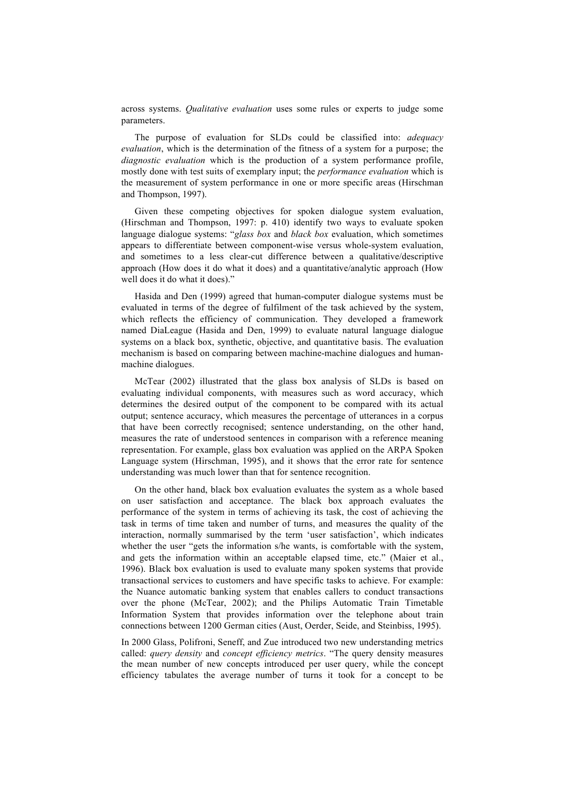across systems. *Qualitative evaluation* uses some rules or experts to judge some parameters.

The purpose of evaluation for SLDs could be classified into: *adequacy evaluation*, which is the determination of the fitness of a system for a purpose; the *diagnostic evaluation* which is the production of a system performance profile, mostly done with test suits of exemplary input; the *performance evaluation* which is the measurement of system performance in one or more specific areas (Hirschman and Thompson, 1997).

Given these competing objectives for spoken dialogue system evaluation, (Hirschman and Thompson, 1997: p. 410) identify two ways to evaluate spoken language dialogue systems: "*glass box* and *black box* evaluation, which sometimes appears to differentiate between component-wise versus whole-system evaluation, and sometimes to a less clear-cut difference between a qualitative/descriptive approach (How does it do what it does) and a quantitative/analytic approach (How well does it do what it does)."

Hasida and Den (1999) agreed that human-computer dialogue systems must be evaluated in terms of the degree of fulfilment of the task achieved by the system, which reflects the efficiency of communication. They developed a framework named DiaLeague (Hasida and Den, 1999) to evaluate natural language dialogue systems on a black box, synthetic, objective, and quantitative basis. The evaluation mechanism is based on comparing between machine-machine dialogues and humanmachine dialogues.

McTear (2002) illustrated that the glass box analysis of SLDs is based on evaluating individual components, with measures such as word accuracy, which determines the desired output of the component to be compared with its actual output; sentence accuracy, which measures the percentage of utterances in a corpus that have been correctly recognised; sentence understanding, on the other hand, measures the rate of understood sentences in comparison with a reference meaning representation. For example, glass box evaluation was applied on the ARPA Spoken Language system (Hirschman, 1995), and it shows that the error rate for sentence understanding was much lower than that for sentence recognition.

On the other hand, black box evaluation evaluates the system as a whole based on user satisfaction and acceptance. The black box approach evaluates the performance of the system in terms of achieving its task, the cost of achieving the task in terms of time taken and number of turns, and measures the quality of the interaction, normally summarised by the term 'user satisfaction', which indicates whether the user "gets the information s/he wants, is comfortable with the system, and gets the information within an acceptable elapsed time, etc." (Maier et al., 1996). Black box evaluation is used to evaluate many spoken systems that provide transactional services to customers and have specific tasks to achieve. For example: the Nuance automatic banking system that enables callers to conduct transactions over the phone (McTear, 2002); and the Philips Automatic Train Timetable Information System that provides information over the telephone about train connections between 1200 German cities (Aust, Oerder, Seide, and Steinbiss, 1995).

In 2000 Glass, Polifroni, Seneff, and Zue introduced two new understanding metrics called: *query density* and *concept efficiency metrics*. "The query density measures the mean number of new concepts introduced per user query, while the concept efficiency tabulates the average number of turns it took for a concept to be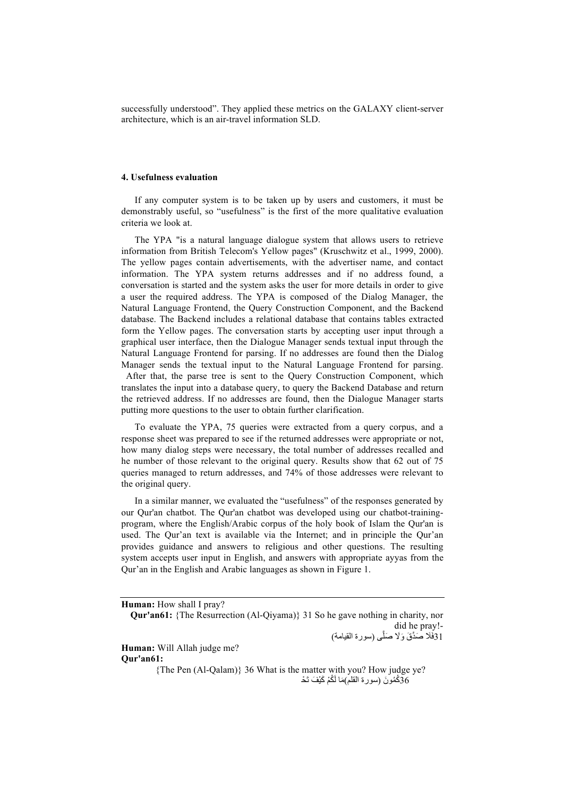successfully understood". They applied these metrics on the GALAXY client-server architecture, which is an air-travel information SLD.

#### **4. Usefulness evaluation**

If any computer system is to be taken up by users and customers, it must be demonstrably useful, so "usefulness" is the first of the more qualitative evaluation criteria we look at.

The YPA "is a natural language dialogue system that allows users to retrieve information from British Telecom's Yellow pages" (Kruschwitz et al., 1999, 2000). The yellow pages contain advertisements, with the advertiser name, and contact information. The YPA system returns addresses and if no address found, a conversation is started and the system asks the user for more details in order to give a user the required address. The YPA is composed of the Dialog Manager, the Natural Language Frontend, the Query Construction Component, and the Backend database. The Backend includes a relational database that contains tables extracted form the Yellow pages. The conversation starts by accepting user input through a graphical user interface, then the Dialogue Manager sends textual input through the Natural Language Frontend for parsing. If no addresses are found then the Dialog Manager sends the textual input to the Natural Language Frontend for parsing. After that, the parse tree is sent to the Query Construction Component, which translates the input into a database query, to query the Backend Database and return the retrieved address. If no addresses are found, then the Dialogue Manager starts putting more questions to the user to obtain further clarification.

To evaluate the YPA, 75 queries were extracted from a query corpus, and a response sheet was prepared to see if the returned addresses were appropriate or not, how many dialog steps were necessary, the total number of addresses recalled and he number of those relevant to the original query. Results show that 62 out of 75 queries managed to return addresses, and 74% of those addresses were relevant to the original query.

In a similar manner, we evaluated the "usefulness" of the responses generated by our Qur'an chatbot. The Qur'an chatbot was developed using our chatbot-trainingprogram, where the English/Arabic corpus of the holy book of Islam the Qur'an is used. The Qur'an text is available via the Internet; and in principle the Qur'an provides guidance and answers to religious and other questions. The resulting system accepts user input in English, and answers with appropriate ayyas from the Qur'an in the English and Arabic languages as shown in Figure 1.

**Human:** How shall I pray? **Qur'an61:** {The Resurrection (Al-Qiyama)} 31 So he gave nothing in charity, nor did he pray!- 13فَلَا صَدَّقَ وَلَا صَلَّى (سورة القيامة) **Human:** Will Allah judge me? **Qur'an61:**

{The Pen (Al-Qalam)} 36 What is the matter with you? How judge ye? 36كُمُونَ (سورة القلم)مَا لَكُمْ كَيْفَ تَحْ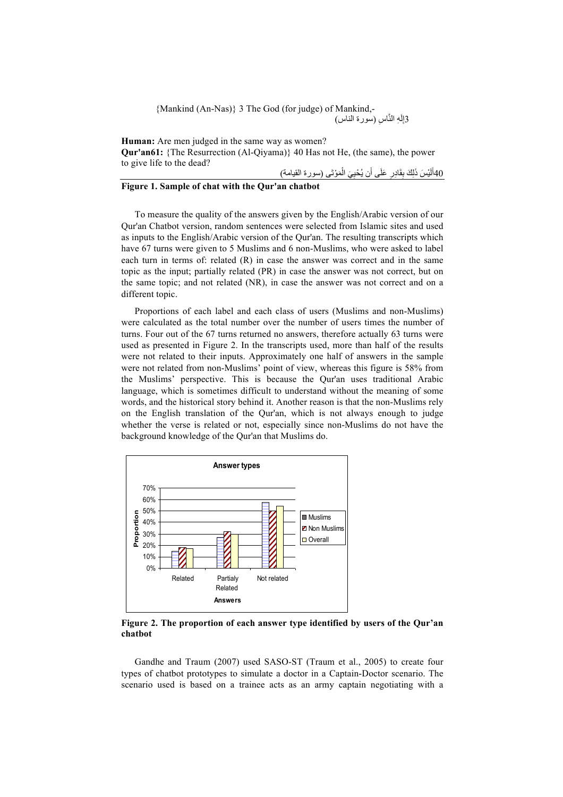{Mankind (An-Nas)} 3 The God (for judge) of Mankind,- 3إِلَهِ النَّاسِ (سورة الناس) ِ لَ ِ

**Human:** Are men judged in the same way as women? **Qur'an61:** {The Resurrection (Al-Qiyama)} 40 Has not He, (the same), the power to give life to the dead?

40أَلَيْسَ ذَلِكَ بِقَادِرِ عَلَى أَن يُحْيِيَ الْمَوْتَى (سورة القيامة) ْ َ

# **Figure 1. Sample of chat with the Qur'an chatbot**

To measure the quality of the answers given by the English/Arabic version of our Qur'an Chatbot version, random sentences were selected from Islamic sites and used as inputs to the English/Arabic version of the Qur'an. The resulting transcripts which have 67 turns were given to 5 Muslims and 6 non-Muslims, who were asked to label each turn in terms of: related (R) in case the answer was correct and in the same topic as the input; partially related (PR) in case the answer was not correct, but on the same topic; and not related (NR), in case the answer was not correct and on a different topic.

Proportions of each label and each class of users (Muslims and non-Muslims) were calculated as the total number over the number of users times the number of turns. Four out of the 67 turns returned no answers, therefore actually 63 turns were used as presented in Figure 2. In the transcripts used, more than half of the results were not related to their inputs. Approximately one half of answers in the sample were not related from non-Muslims' point of view, whereas this figure is 58% from the Muslims' perspective. This is because the Qur'an uses traditional Arabic language, which is sometimes difficult to understand without the meaning of some words, and the historical story behind it. Another reason is that the non-Muslims rely on the English translation of the Qur'an, which is not always enough to judge whether the verse is related or not, especially since non-Muslims do not have the background knowledge of the Qur'an that Muslims do.



**Figure 2. The proportion of each answer type identified by users of the Qur'an chatbot**

Gandhe and Traum (2007) used SASO-ST (Traum et al., 2005) to create four types of chatbot prototypes to simulate a doctor in a Captain-Doctor scenario. The scenario used is based on a trainee acts as an army captain negotiating with a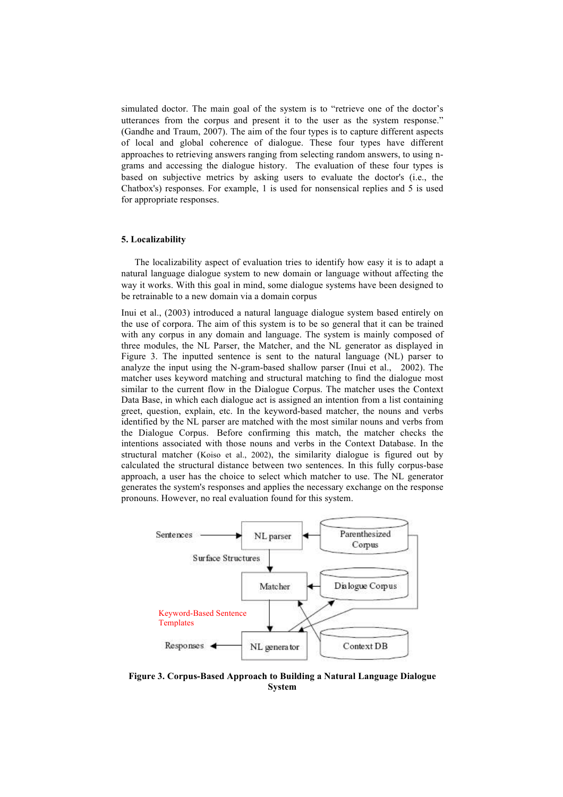simulated doctor. The main goal of the system is to "retrieve one of the doctor's utterances from the corpus and present it to the user as the system response." (Gandhe and Traum, 2007). The aim of the four types is to capture different aspects of local and global coherence of dialogue. These four types have different approaches to retrieving answers ranging from selecting random answers, to using ngrams and accessing the dialogue history. The evaluation of these four types is based on subjective metrics by asking users to evaluate the doctor's (i.e., the Chatbox's) responses. For example, 1 is used for nonsensical replies and 5 is used for appropriate responses.

### **5. Localizability**

The localizability aspect of evaluation tries to identify how easy it is to adapt a natural language dialogue system to new domain or language without affecting the way it works. With this goal in mind, some dialogue systems have been designed to be retrainable to a new domain via a domain corpus

Inui et al., (2003) introduced a natural language dialogue system based entirely on the use of corpora. The aim of this system is to be so general that it can be trained with any corpus in any domain and language. The system is mainly composed of three modules, the NL Parser, the Matcher, and the NL generator as displayed in Figure 3. The inputted sentence is sent to the natural language (NL) parser to analyze the input using the N-gram-based shallow parser (Inui et al., 2002). The matcher uses keyword matching and structural matching to find the dialogue most similar to the current flow in the Dialogue Corpus. The matcher uses the Context Data Base, in which each dialogue act is assigned an intention from a list containing greet, question, explain, etc. In the keyword-based matcher, the nouns and verbs identified by the NL parser are matched with the most similar nouns and verbs from the Dialogue Corpus. Before confirming this match, the matcher checks the intentions associated with those nouns and verbs in the Context Database. In the structural matcher (Koiso et al., 2002), the similarity dialogue is figured out by calculated the structural distance between two sentences. In this fully corpus-base approach, a user has the choice to select which matcher to use. The NL generator generates the system's responses and applies the necessary exchange on the response pronouns. However, no real evaluation found for this system.



**Figure 3. Corpus-Based Approach to Building a Natural Language Dialogue System**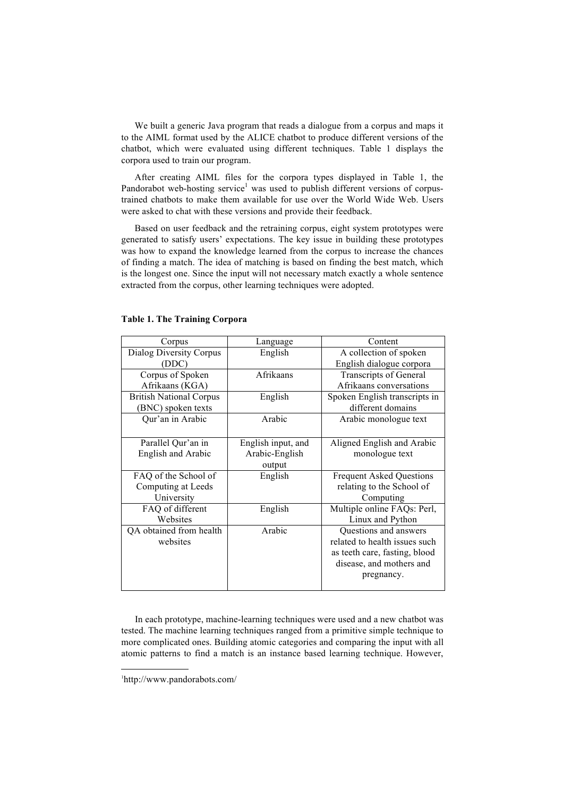We built a generic Java program that reads a dialogue from a corpus and maps it to the AIML format used by the ALICE chatbot to produce different versions of the chatbot, which were evaluated using different techniques. Table 1 displays the corpora used to train our program.

After creating AIML files for the corpora types displayed in Table 1, the Pandorabot web-hosting service<sup>1</sup> was used to publish different versions of corpustrained chatbots to make them available for use over the World Wide Web. Users were asked to chat with these versions and provide their feedback.

Based on user feedback and the retraining corpus, eight system prototypes were generated to satisfy users' expectations. The key issue in building these prototypes was how to expand the knowledge learned from the corpus to increase the chances of finding a match. The idea of matching is based on finding the best match, which is the longest one. Since the input will not necessary match exactly a whole sentence extracted from the corpus, other learning techniques were adopted.

| Corpus                         | Language           | Content                         |
|--------------------------------|--------------------|---------------------------------|
| Dialog Diversity Corpus        | English            | A collection of spoken          |
| (DDC)                          |                    | English dialogue corpora        |
| Corpus of Spoken               | Afrikaans          | Transcripts of General          |
| Afrikaans (KGA)                |                    | Afrikaans conversations         |
| <b>British National Corpus</b> | English            | Spoken English transcripts in   |
| (BNC) spoken texts             |                    | different domains               |
| Qur'an in Arabic               | Arabic             | Arabic monologue text           |
|                                |                    |                                 |
| Parallel Qur'an in             | English input, and | Aligned English and Arabic      |
| <b>English and Arabic</b>      | Arabic-English     | monologue text                  |
|                                | output             |                                 |
| FAQ of the School of           | English            | <b>Frequent Asked Questions</b> |
| Computing at Leeds             |                    | relating to the School of       |
| University                     |                    | Computing                       |
| FAQ of different               | English            | Multiple online FAQs: Perl,     |
| Websites                       |                    | Linux and Python                |
| QA obtained from health        | Arabic             | Questions and answers           |
| websites                       |                    | related to health issues such   |
|                                |                    | as teeth care, fasting, blood   |
|                                |                    | disease, and mothers and        |
|                                |                    | pregnancy.                      |
|                                |                    |                                 |

# **Table 1. The Training Corpora**

In each prototype, machine-learning techniques were used and a new chatbot was tested. The machine learning techniques ranged from a primitive simple technique to more complicated ones. Building atomic categories and comparing the input with all atomic patterns to find a match is an instance based learning technique. However,

-

<sup>1</sup>http://www.pandorabots.com/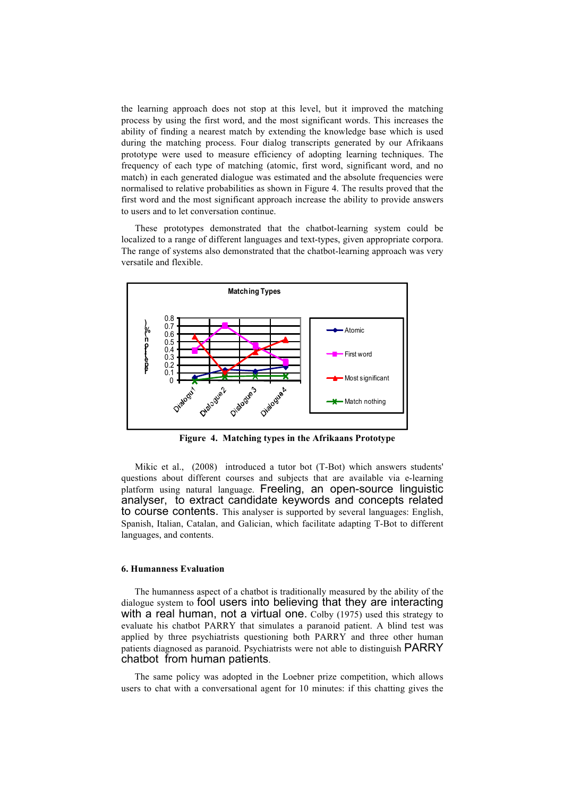the learning approach does not stop at this level, but it improved the matching process by using the first word, and the most significant words. This increases the ability of finding a nearest match by extending the knowledge base which is used during the matching process. Four dialog transcripts generated by our Afrikaans prototype were used to measure efficiency of adopting learning techniques. The frequency of each type of matching (atomic, first word, significant word, and no match) in each generated dialogue was estimated and the absolute frequencies were normalised to relative probabilities as shown in Figure 4. The results proved that the first word and the most significant approach increase the ability to provide answers to users and to let conversation continue.

These prototypes demonstrated that the chatbot-learning system could be localized to a range of different languages and text-types, given appropriate corpora. The range of systems also demonstrated that the chatbot-learning approach was very versatile and flexible.



**Figure 4. Matching types in the Afrikaans Prototype**

Mikic et al., (2008) introduced a tutor bot (T-Bot) which answers students' questions about different courses and subjects that are available via e-learning platform using natural language. Freeling, an open-source linguistic analyser, to extract candidate keywords and concepts related to course contents. This analyser is supported by several languages: English, Spanish, Italian, Catalan, and Galician, which facilitate adapting T-Bot to different languages, and contents.

## **6. Humanness Evaluation**

The humanness aspect of a chatbot is traditionally measured by the ability of the dialogue system to fool users into believing that they are interacting with a real human, not a virtual one. Colby (1975) used this strategy to evaluate his chatbot PARRY that simulates a paranoid patient. A blind test was applied by three psychiatrists questioning both PARRY and three other human patients diagnosed as paranoid. Psychiatrists were not able to distinguish PARRY chatbot from human patients.

The same policy was adopted in the Loebner prize competition, which allows users to chat with a conversational agent for 10 minutes: if this chatting gives the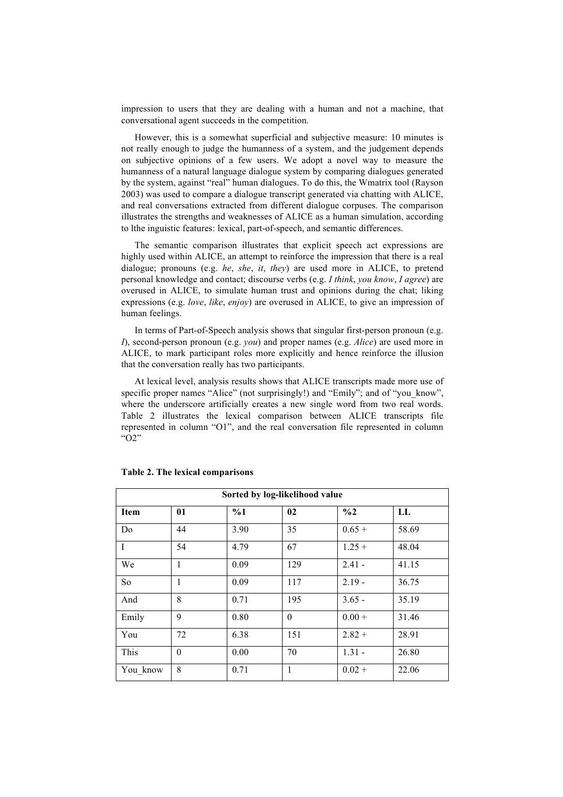impression to users that they are dealing with a human and not a machine, that conversational agent succeeds in the competition.

However, this is a somewhat superficial and subjective measure: 10 minutes is not really enough to judge the humanness of a system, and the judgement depends on subjective opinions of a few users. We adopt a novel way to measure the humanness of a natural language dialogue system by comparing dialogues generated by the system, against "real" human dialogues. To do this, the Wmatrix tool (Rayson 2003) was used to compare a dialogue transcript generated via chatting with ALICE, and real conversations extracted from different dialogue corpuses. The comparison illustrates the strengths and weaknesses of ALICE as a human simulation, according to lthe inguistic features: lexical, part-of-speech, and semantic differences.

The semantic comparison illustrates that explicit speech act expressions are highly used within ALICE, an attempt to reinforce the impression that there is a real dialogue; pronouns (e.g. *he*, *she*, *it*, *they*) are used more in ALICE, to pretend personal knowledge and contact; discourse verbs (e.g. *I think*, *you know*, *I agree*) are overused in ALICE, to simulate human trust and opinions during the chat; liking expressions (e.g. *love*, *like*, *enjoy*) are overused in ALICE, to give an impression of human feelings.

In terms of Part-of-Speech analysis shows that singular first-person pronoun (e.g. *I*), second-person pronoun (e.g. *you*) and proper names (e.g. *Alice*) are used more in ALICE, to mark participant roles more explicitly and hence reinforce the illusion that the conversation really has two participants.

At lexical level, analysis results shows that ALICE transcripts made more use of specific proper names "Alice" (not surprisingly!) and "Emily"; and of "you know", where the underscore artificially creates a new single word from two real words. Table 2 illustrates the lexical comparison between ALICE transcripts file represented in column "O1", and the real conversation file represented in column "O2"

| Sorted by log-likelihood value |          |      |          |               |       |
|--------------------------------|----------|------|----------|---------------|-------|
| <b>Item</b>                    | 01       | %1   | 02       | $\frac{6}{2}$ | LL    |
| Do                             | 44       | 3.90 | 35       | $0.65 +$      | 58.69 |
| L                              | 54       | 4.79 | 67       | $1.25 +$      | 48.04 |
| We                             | 1        | 0.09 | 129      | $2.41 -$      | 41.15 |
| So                             | 1        | 0.09 | 117      | $2.19 -$      | 36.75 |
| And                            | 8        | 0.71 | 195      | $3.65 -$      | 35.19 |
| Emily                          | 9        | 0.80 | $\theta$ | $0.00 +$      | 31.46 |
| You                            | 72       | 6.38 | 151      | $2.82 +$      | 28.91 |
| This                           | $\theta$ | 0.00 | 70       | $1.31 -$      | 26.80 |
| You know                       | 8        | 0.71 | 1        | $0.02 +$      | 22.06 |

**Table 2. The lexical comparisons**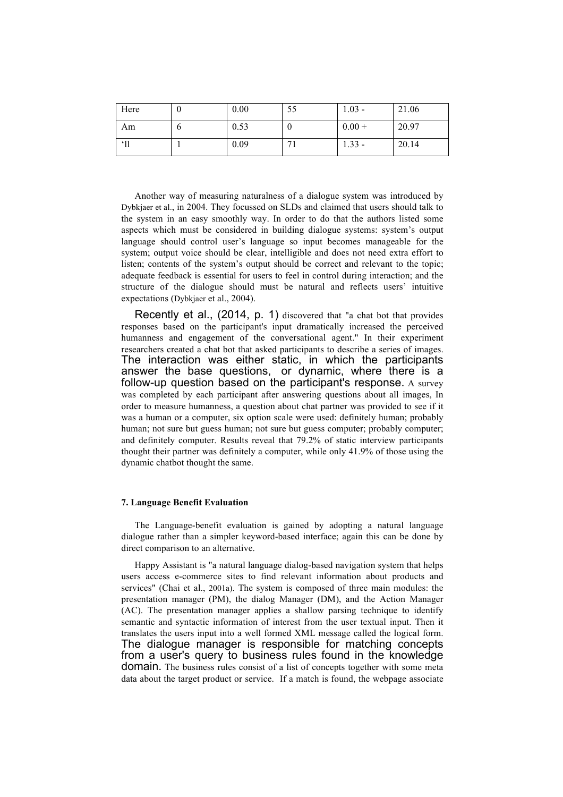| Here |   | 0.00 | 55 | $1.03 -$ | 21.06 |
|------|---|------|----|----------|-------|
| Am   | O | 0.53 | ν  | $0.00 +$ | 20.97 |
| 611  |   | 0.09 |    | $1.33 -$ | 20.14 |

Another way of measuring naturalness of a dialogue system was introduced by Dybkjaer et al., in 2004. They focussed on SLDs and claimed that users should talk to the system in an easy smoothly way. In order to do that the authors listed some aspects which must be considered in building dialogue systems: system's output language should control user's language so input becomes manageable for the system; output voice should be clear, intelligible and does not need extra effort to listen; contents of the system's output should be correct and relevant to the topic; adequate feedback is essential for users to feel in control during interaction; and the structure of the dialogue should must be natural and reflects users' intuitive expectations (Dybkjaer et al., 2004).

Recently et al., (2014, p. 1) discovered that "a chat bot that provides responses based on the participant's input dramatically increased the perceived humanness and engagement of the conversational agent." In their experiment researchers created a chat bot that asked participants to describe a series of images. The interaction was either static, in which the participants answer the base questions, or dynamic, where there is a follow-up question based on the participant's response. A survey was completed by each participant after answering questions about all images, In order to measure humanness, a question about chat partner was provided to see if it was a human or a computer, six option scale were used: definitely human; probably human; not sure but guess human; not sure but guess computer; probably computer; and definitely computer. Results reveal that 79.2% of static interview participants thought their partner was definitely a computer, while only 41.9% of those using the dynamic chatbot thought the same.

## **7. Language Benefit Evaluation**

The Language-benefit evaluation is gained by adopting a natural language dialogue rather than a simpler keyword-based interface; again this can be done by direct comparison to an alternative.

Happy Assistant is "a natural language dialog-based navigation system that helps users access e-commerce sites to find relevant information about products and services" (Chai et al., 2001a). The system is composed of three main modules: the presentation manager (PM), the dialog Manager (DM), and the Action Manager (AC). The presentation manager applies a shallow parsing technique to identify semantic and syntactic information of interest from the user textual input. Then it translates the users input into a well formed XML message called the logical form. The dialogue manager is responsible for matching concepts from a user's query to business rules found in the knowledge domain. The business rules consist of a list of concepts together with some meta data about the target product or service. If a match is found, the webpage associate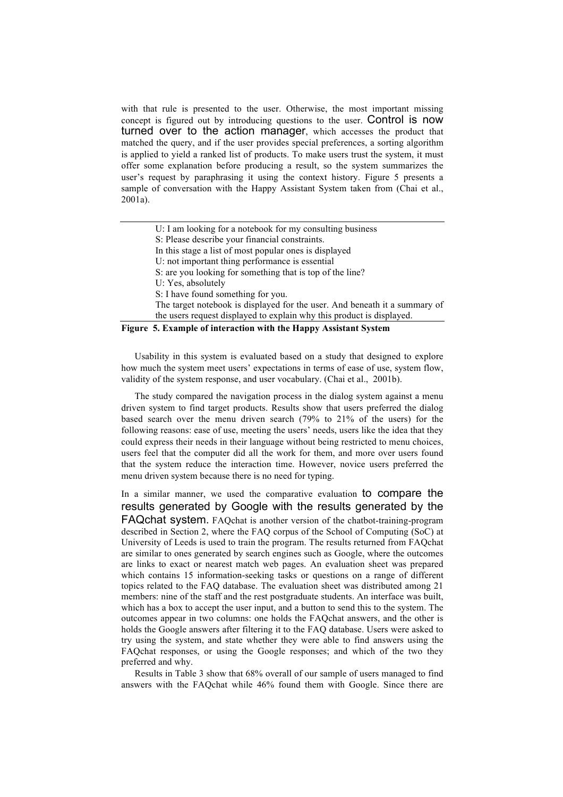with that rule is presented to the user. Otherwise, the most important missing concept is figured out by introducing questions to the user. Control is now turned over to the action manager, which accesses the product that matched the query, and if the user provides special preferences, a sorting algorithm is applied to yield a ranked list of products. To make users trust the system, it must offer some explanation before producing a result, so the system summarizes the user's request by paraphrasing it using the context history. Figure 5 presents a sample of conversation with the Happy Assistant System taken from (Chai et al., 2001a).

- U: I am looking for a notebook for my consulting business
- S: Please describe your financial constraints.
- In this stage a list of most popular ones is displayed
- U: not important thing performance is essential
- S: are you looking for something that is top of the line?
- U: Yes, absolutely
- S: I have found something for you.

The target notebook is displayed for the user. And beneath it a summary of the users request displayed to explain why this product is displayed.

## **Figure 5. Example of interaction with the Happy Assistant System**

Usability in this system is evaluated based on a study that designed to explore how much the system meet users' expectations in terms of ease of use, system flow, validity of the system response, and user vocabulary. (Chai et al., 2001b).

The study compared the navigation process in the dialog system against a menu driven system to find target products. Results show that users preferred the dialog based search over the menu driven search (79% to 21% of the users) for the following reasons: ease of use, meeting the users' needs, users like the idea that they could express their needs in their language without being restricted to menu choices, users feel that the computer did all the work for them, and more over users found that the system reduce the interaction time. However, novice users preferred the menu driven system because there is no need for typing.

In a similar manner, we used the comparative evaluation to compare the results generated by Google with the results generated by the FAQchat system. FAQchat is another version of the chatbot-training-program described in Section 2, where the FAQ corpus of the School of Computing (SoC) at University of Leeds is used to train the program. The results returned from FAQchat are similar to ones generated by search engines such as Google, where the outcomes are links to exact or nearest match web pages. An evaluation sheet was prepared which contains 15 information-seeking tasks or questions on a range of different topics related to the FAQ database. The evaluation sheet was distributed among 21 members: nine of the staff and the rest postgraduate students. An interface was built, which has a box to accept the user input, and a button to send this to the system. The outcomes appear in two columns: one holds the FAQchat answers, and the other is holds the Google answers after filtering it to the FAQ database. Users were asked to try using the system, and state whether they were able to find answers using the FAQchat responses, or using the Google responses; and which of the two they preferred and why.

Results in Table 3 show that 68% overall of our sample of users managed to find answers with the FAQchat while 46% found them with Google. Since there are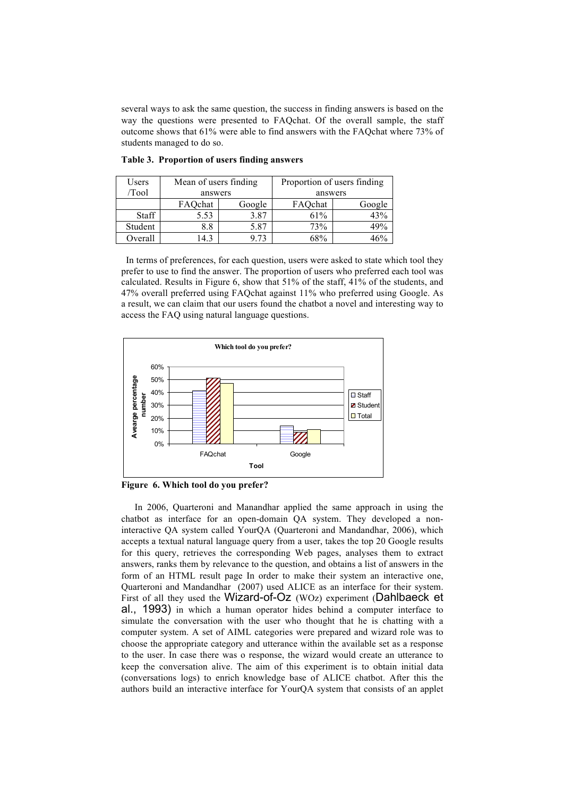several ways to ask the same question, the success in finding answers is based on the way the questions were presented to FAQchat. Of the overall sample, the staff outcome shows that 61% were able to find answers with the FAQchat where 73% of students managed to do so.

| Users        | Mean of users finding |        | Proportion of users finding |        |
|--------------|-----------------------|--------|-----------------------------|--------|
| Tool         | answers               |        | answers                     |        |
|              | FAOchat               | Google | FAQchat                     | Google |
| <b>Staff</b> | 5.53                  | 3.87   | 61%                         | 43%    |
| Student      | 8.8                   | 5.87   | 73%                         | 49%    |
| Overall      | 43                    | 9.73   | 68%                         | 46%    |

**Table 3. Proportion of users finding answers**

 In terms of preferences, for each question, users were asked to state which tool they prefer to use to find the answer. The proportion of users who preferred each tool was calculated. Results in Figure 6, show that 51% of the staff, 41% of the students, and 47% overall preferred using FAQchat against 11% who preferred using Google. As a result, we can claim that our users found the chatbot a novel and interesting way to access the FAQ using natural language questions.



**Figure 6. Which tool do you prefer?**

In 2006, Quarteroni and Manandhar applied the same approach in using the chatbot as interface for an open-domain QA system. They developed a noninteractive QA system called YourQA (Quarteroni and Mandandhar, 2006), which accepts a textual natural language query from a user, takes the top 20 Google results for this query, retrieves the corresponding Web pages, analyses them to extract answers, ranks them by relevance to the question, and obtains a list of answers in the form of an HTML result page In order to make their system an interactive one, Quarteroni and Mandandhar (2007) used ALICE as an interface for their system. First of all they used the Wizard-of-Oz (WOz) experiment (Dahlbaeck et al., 1993) in which a human operator hides behind a computer interface to simulate the conversation with the user who thought that he is chatting with a computer system. A set of AIML categories were prepared and wizard role was to choose the appropriate category and utterance within the available set as a response to the user. In case there was o response, the wizard would create an utterance to keep the conversation alive. The aim of this experiment is to obtain initial data (conversations logs) to enrich knowledge base of ALICE chatbot. After this the authors build an interactive interface for YourQA system that consists of an applet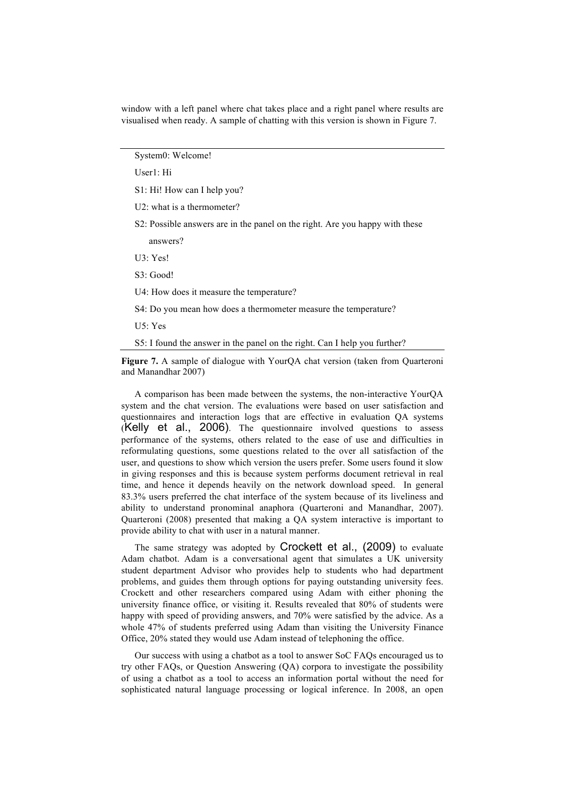window with a left panel where chat takes place and a right panel where results are visualised when ready. A sample of chatting with this version is shown in Figure 7.

System0: Welcome!

User1: Hi

S1: Hi! How can I help you?

U2: what is a thermometer?

S2: Possible answers are in the panel on the right. Are you happy with these answers?

U3: Yes!

S3: Good!

U4: How does it measure the temperature?

S4: Do you mean how does a thermometer measure the temperature?

U5: Yes

S5: I found the answer in the panel on the right. Can I help you further?

**Figure 7.** A sample of dialogue with YourOA chat version (taken from Ouarteroni and Manandhar 2007)

A comparison has been made between the systems, the non-interactive YourQA system and the chat version. The evaluations were based on user satisfaction and questionnaires and interaction logs that are effective in evaluation QA systems (Kelly et al., 2006). The questionnaire involved questions to assess performance of the systems, others related to the ease of use and difficulties in reformulating questions, some questions related to the over all satisfaction of the user, and questions to show which version the users prefer. Some users found it slow in giving responses and this is because system performs document retrieval in real time, and hence it depends heavily on the network download speed. In general 83.3% users preferred the chat interface of the system because of its liveliness and ability to understand pronominal anaphora (Quarteroni and Manandhar, 2007). Quarteroni (2008) presented that making a QA system interactive is important to provide ability to chat with user in a natural manner.

The same strategy was adopted by Crockett et al., (2009) to evaluate Adam chatbot. Adam is a conversational agent that simulates a UK university student department Advisor who provides help to students who had department problems, and guides them through options for paying outstanding university fees. Crockett and other researchers compared using Adam with either phoning the university finance office, or visiting it. Results revealed that 80% of students were happy with speed of providing answers, and 70% were satisfied by the advice. As a whole 47% of students preferred using Adam than visiting the University Finance Office, 20% stated they would use Adam instead of telephoning the office.

Our success with using a chatbot as a tool to answer SoC FAQs encouraged us to try other FAQs, or Question Answering (QA) corpora to investigate the possibility of using a chatbot as a tool to access an information portal without the need for sophisticated natural language processing or logical inference. In 2008, an open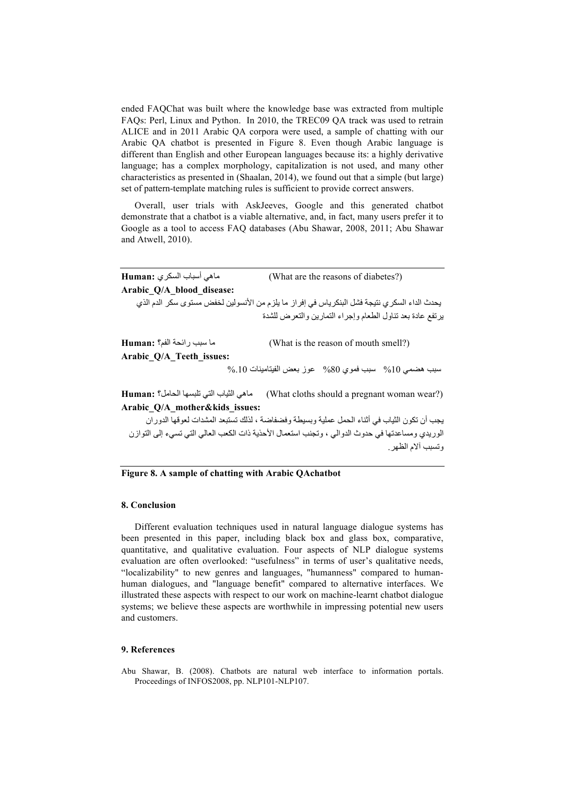ended FAQChat was built where the knowledge base was extracted from multiple FAQs: Perl, Linux and Python. In 2010, the TREC09 QA track was used to retrain ALICE and in 2011 Arabic QA corpora were used, a sample of chatting with our Arabic QA chatbot is presented in Figure 8. Even though Arabic language is different than English and other European languages because its: a highly derivative language; has a complex morphology, capitalization is not used, and many other characteristics as presented in (Shaalan, 2014), we found out that a simple (but large) set of pattern-template matching rules is sufficient to provide correct answers.

Overall, user trials with AskJeeves, Google and this generated chatbot demonstrate that a chatbot is a viable alternative, and, in fact, many users prefer it to Google as a tool to access FAQ databases (Abu Shawar, 2008, 2011; Abu Shawar and Atwell, 2010).

**Human:** السكري أسباب ماھي) What are the reasons of diabetes?) **Arabic\_Q/A\_blood\_disease:** یحدث الداء السكري نتیجة فشل البنكریاس في إفراز ما یلزم من الأنسولین لخفض مستوى سكر الدم الذي یرتفع عادة بعد تناول الطعام وإجراء التمارین والتعرض للشدة **Human:** الفم؟ رائحة سبب ما) What is the reason of mouth smell?) **Arabic\_Q/A\_Teeth\_issues:**  $\%10$  سبب هضمي 10% سبب فموي 80% عوز بعض الفيتامينات 10 **Human:** الحامل؟ تلبسھا التي الثیاب ماھي) What cloths should a pregnant woman wear?) **Arabic\_Q/A\_mother&kids\_issues:** یجب أن تكون الثیاب في أثناء الحمل عملیة وبسیطة وفضفاضة ، لذلك تستبعد المشدات لعوقھا الدوران الوریدي ومساعدتھا في حدوث الدوالي ، وتجنب استعمال الأحذیة ذات الكعب العالي التي تسيء إلى التوازن

وتسبب آلام الظھر.

**Figure 8. A sample of chatting with Arabic QAchatbot**

# **8. Conclusion**

Different evaluation techniques used in natural language dialogue systems has been presented in this paper, including black box and glass box, comparative, quantitative, and qualitative evaluation. Four aspects of NLP dialogue systems evaluation are often overlooked: "usefulness" in terms of user's qualitative needs, "localizability" to new genres and languages, "humanness" compared to humanhuman dialogues, and "language benefit" compared to alternative interfaces. We illustrated these aspects with respect to our work on machine-learnt chatbot dialogue systems; we believe these aspects are worthwhile in impressing potential new users and customers.

### **9. References**

Abu Shawar, B. (2008). Chatbots are natural web interface to information portals. Proceedings of INFOS2008, pp. NLP101-NLP107.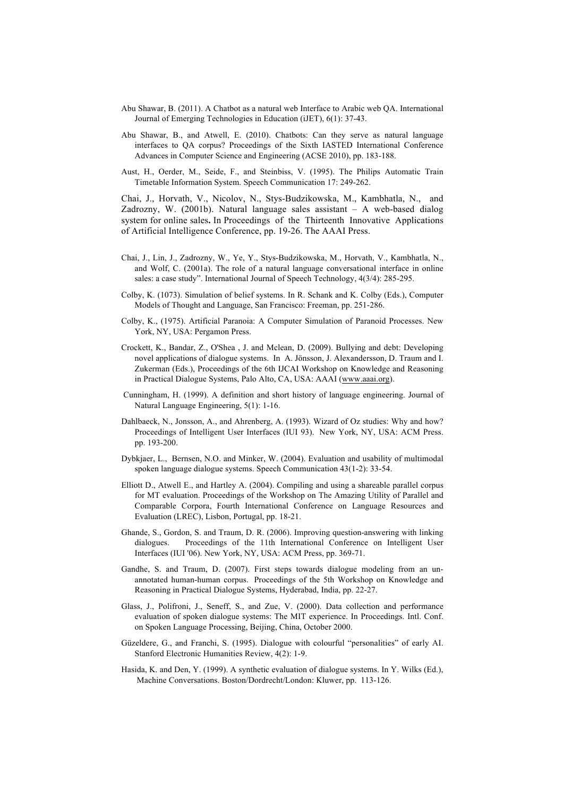- Abu Shawar, B. (2011). A Chatbot as a natural web Interface to Arabic web QA. International Journal of Emerging Technologies in Education (iJET), 6(1): 37-43.
- Abu Shawar, B., and Atwell, E. (2010). Chatbots: Can they serve as natural language interfaces to QA corpus? Proceedings of the Sixth IASTED International Conference Advances in Computer Science and Engineering (ACSE 2010), pp. 183-188.
- Aust, H., Oerder, M., Seide, F., and Steinbiss, V. (1995). The Philips Automatic Train Timetable Information System. Speech Communication 17: 249-262.

Chai, J., Horvath, V., Nicolov, N., Stys-Budzikowska, M., Kambhatla, N., and Zadrozny, W. (2001b). Natural language sales assistant – A web-based dialog system for online sales**.** In Proceedings of the Thirteenth Innovative Applications of Artificial Intelligence Conference, pp. 19-26. The AAAI Press.

- Chai, J., Lin, J., Zadrozny, W., Ye, Y., Stys-Budzikowska, M., Horvath, V., Kambhatla, N., and Wolf, C. (2001a). The role of a natural language conversational interface in online sales: a case study". International Journal of Speech Technology, 4(3/4): 285-295.
- Colby, K. (1073). Simulation of belief systems. In R. Schank and K. Colby (Eds.), Computer Models of Thought and Language, San Francisco: Freeman, pp. 251-286.
- Colby, K., (1975). Artificial Paranoia: A Computer Simulation of Paranoid Processes. New York, NY, USA: Pergamon Press.
- Crockett, K., Bandar, Z., O'Shea , J. and Mclean, D. (2009). Bullying and debt: Developing novel applications of dialogue systems. In A. Jönsson, J. Alexandersson, D. Traum and I. Zukerman (Eds.), Proceedings of the 6th IJCAI Workshop on Knowledge and Reasoning in Practical Dialogue Systems, Palo Alto, CA, USA: AAAI (www.aaai.org).
- Cunningham, H. (1999). A definition and short history of language engineering. Journal of Natural Language Engineering, 5(1): 1-16.
- Dahlbaeck, N., Jonsson, A., and Ahrenberg, A. (1993). Wizard of Oz studies: Why and how? Proceedings of Intelligent User Interfaces (IUI 93). New York, NY, USA: ACM Press. pp. 193-200.
- Dybkjaer, L., Bernsen, N.O. and Minker, W. (2004). Evaluation and usability of multimodal spoken language dialogue systems. Speech Communication 43(1-2): 33-54.
- Elliott D., Atwell E., and Hartley A. (2004). Compiling and using a shareable parallel corpus for MT evaluation. Proceedings of the Workshop on The Amazing Utility of Parallel and Comparable Corpora, Fourth International Conference on Language Resources and Evaluation (LREC), Lisbon, Portugal, pp. 18-21.
- Ghande, S., Gordon, S. and Traum, D. R. (2006). Improving question-answering with linking dialogues. Proceedings of the 11th International Conference on Intelligent User Interfaces (IUI '06). New York, NY, USA: ACM Press, pp. 369-71.
- Gandhe, S. and Traum, D. (2007). First steps towards dialogue modeling from an unannotated human-human corpus. Proceedings of the 5th Workshop on Knowledge and Reasoning in Practical Dialogue Systems, Hyderabad, India, pp. 22-27.
- Glass, J., Polifroni, J., Seneff, S., and Zue, V. (2000). Data collection and performance evaluation of spoken dialogue systems: The MIT experience. In Proceedings. Intl. Conf. on Spoken Language Processing, Beijing, China, October 2000.
- Güzeldere, G., and Franchi, S. (1995). Dialogue with colourful "personalities" of early AI. Stanford Electronic Humanities Review, 4(2): 1-9.
- Hasida, K. and Den, Y. (1999). A synthetic evaluation of dialogue systems. In Y. Wilks (Ed.), Machine Conversations. Boston/Dordrecht/London: Kluwer, pp. 113-126.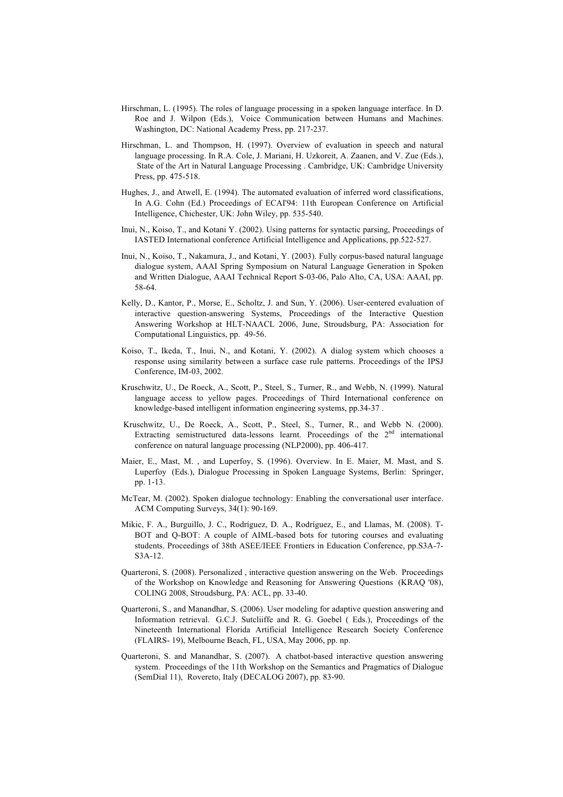- Hirschman, L. (1995). The roles of language processing in a spoken language interface. In D. Roe and J. Wilpon (Eds.), Voice Communication between Humans and Machines. Washington, DC: National Academy Press, pp. 217-237.
- Hirschman, L. and Thompson, H. (1997). Overview of evaluation in speech and natural language processing. In R.A. Cole, J. Mariani, H. Uzkoreit, A. Zaanen, and V. Zue (Eds.), State of the Art in Natural Language Processing . Cambridge, UK: Cambridge University Press, pp. 475-518.
- Hughes, J., and Atwell, E. (1994). The automated evaluation of inferred word classifications, In A.G. Cohn (Ed.) Proceedings of ECAI'94: 11th European Conference on Artificial Intelligence, Chichester, UK: John Wiley, pp. 535-540.
- Inui, N., Koiso, T., and Kotani Y. (2002). Using patterns for syntactic parsing, Proceedings of IASTED International conference Artificial Intelligence and Applications, pp.522-527.
- Inui, N., Koiso, T., Nakamura, J., and Kotani, Y. (2003). Fully corpus-based natural language dialogue system, AAAI Spring Symposium on Natural Language Generation in Spoken and Written Dialogue, AAAI Technical Report S-03-06, Palo Alto, CA, USA: AAAI, pp. 58-64.
- Kelly, D., Kantor, P., Morse, E., Scholtz, J. and Sun, Y. (2006). User-centered evaluation of interactive question-answering Systems, Proceedings of the Interactive Question Answering Workshop at HLT-NAACL 2006, June, Stroudsburg, PA: Association for Computational Linguistics, pp. 49-56.
- Koiso, T., Ikeda, T., Inui, N., and Kotani, Y. (2002). A dialog system which chooses a response using similarity between a surface case rule patterns. Proceedings of the IPSJ Conference, IM-03, 2002.
- Kruschwitz, U., De Roeck, A., Scott, P., Steel, S., Turner, R., and Webb, N. (1999). Natural language access to yellow pages. Proceedings of Third International conference on knowledge-based intelligent information engineering systems, pp.34-37 .
- Kruschwitz, U., De Roeck, A., Scott, P., Steel, S., Turner, R., and Webb N. (2000). Extracting semistructured data-lessons learnt. Proceedings of the  $2<sup>nd</sup>$  international conference on natural language processing (NLP2000), pp. 406-417.
- Maier, E., Mast, M. , and Luperfoy, S. (1996). Overview. In E. Maier, M. Mast, and S. Luperfoy (Eds.), Dialogue Processing in Spoken Language Systems, Berlin: Springer, pp. 1-13.
- McTear, M. (2002). Spoken dialogue technology: Enabling the conversational user interface. ACM Computing Surveys, 34(1): 90-169.
- Mikic, F. A., Burguillo, J. C., Rodríguez, D. A., Rodríguez, E., and Llamas, M. (2008). T-BOT and Q-BOT: A couple of AIML-based bots for tutoring courses and evaluating students. Proceedings of 38th ASEE/IEEE Frontiers in Education Conference, pp.S3A-7- S3A-12.
- Quarteroni, S. (2008). Personalized , interactive question answering on the Web. Proceedings of the Workshop on Knowledge and Reasoning for Answering Questions (KRAQ '08), COLING 2008, Stroudsburg, PA: ACL, pp. 33-40.
- Quarteroni, S., and Manandhar, S. (2006). User modeling for adaptive question answering and Information retrieval. G.C.J. Sutcliiffe and R. G. Goebel ( Eds.), Proceedings of the Nineteenth International Florida Artificial Intelligence Research Society Conference (FLAIRS- 19), Melbourne Beach, FL, USA, May 2006, pp. np.
- Quarteroni, S. and Manandhar, S. (2007). A chatbot-based interactive question answering system. Proceedings of the 11th Workshop on the Semantics and Pragmatics of Dialogue (SemDial 11), Rovereto, Italy (DECALOG 2007), pp. 83-90.